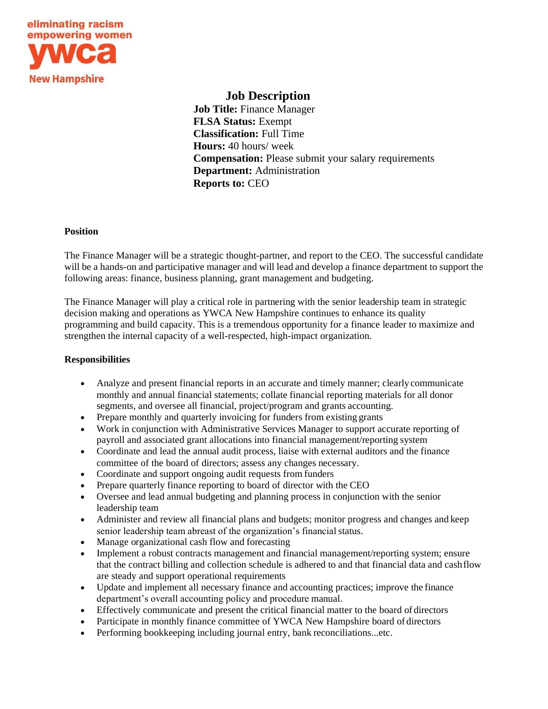

# **Job Description**

**Job Title:** Finance Manager **FLSA Status:** Exempt **Classification:** Full Time **Hours:** 40 hours/ week **Compensation:** Please submit your salary requirements **Department:** Administration **Reports to:** CEO

#### **Position**

The Finance Manager will be a strategic thought-partner, and report to the CEO. The successful candidate will be a hands-on and participative manager and will lead and develop a finance department to support the following areas: finance, business planning, grant management and budgeting.

The Finance Manager will play a critical role in partnering with the senior leadership team in strategic decision making and operations as YWCA New Hampshire continues to enhance its quality programming and build capacity. This is a tremendous opportunity for a finance leader to maximize and strengthen the internal capacity of a well-respected, high-impact organization.

## **Responsibilities**

- Analyze and present financial reports in an accurate and timely manner; clearly communicate monthly and annual financial statements; collate financial reporting materials for all donor segments, and oversee all financial, project/program and grants accounting.
- Prepare monthly and quarterly invoicing for funders from existing grants
- Work in conjunction with Administrative Services Manager to support accurate reporting of payroll and associated grant allocations into financial management/reporting system
- Coordinate and lead the annual audit process, liaise with external auditors and the finance committee of the board of directors; assess any changes necessary.
- Coordinate and support ongoing audit requests from funders
- Prepare quarterly finance reporting to board of director with the CEO
- Oversee and lead annual budgeting and planning process in conjunction with the senior leadership team
- Administer and review all financial plans and budgets; monitor progress and changes and keep senior leadership team abreast of the organization's financial status.
- Manage organizational cash flow and forecasting
- Implement a robust contracts management and financial management/reporting system; ensure that the contract billing and collection schedule is adhered to and that financial data and cashflow are steady and support operational requirements
- Update and implement all necessary finance and accounting practices; improve the finance department's overall accounting policy and procedure manual.
- Effectively communicate and present the critical financial matter to the board of directors
- Participate in monthly finance committee of YWCA New Hampshire board of directors
- Performing bookkeeping including journal entry, bank reconciliations...etc.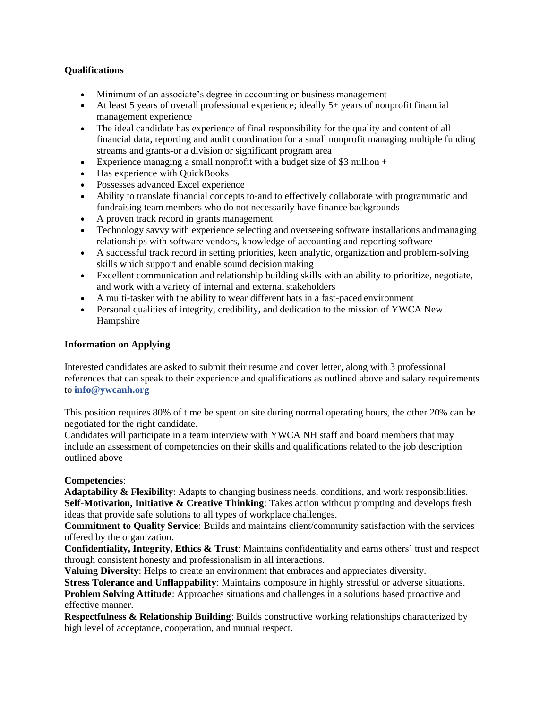## **Qualifications**

- Minimum of an associate's degree in accounting or business management
- At least 5 years of overall professional experience; ideally 5+ years of nonprofit financial management experience
- The ideal candidate has experience of final responsibility for the quality and content of all financial data, reporting and audit coordination for a small nonprofit managing multiple funding streams and grants-or a division or significant program area
- Experience managing a small nonprofit with a budget size of \$3 million +
- Has experience with QuickBooks
- Possesses advanced Excel experience
- Ability to translate financial concepts to-and to effectively collaborate with programmatic and fundraising team members who do not necessarily have finance backgrounds
- A proven track record in grants management
- Technology savvy with experience selecting and overseeing software installations and managing relationships with software vendors, knowledge of accounting and reporting software
- A successful track record in setting priorities, keen analytic, organization and problem-solving skills which support and enable sound decision making
- Excellent communication and relationship building skills with an ability to prioritize, negotiate, and work with a variety of internal and external stakeholders
- A multi-tasker with the ability to wear different hats in a fast-paced environment
- Personal qualities of integrity, credibility, and dedication to the mission of YWCA New Hampshire

## **Information on Applying**

Interested candidates are asked to submit their resume and cover letter, along with 3 professional references that can speak to their experience and qualifications as outlined above and salary requirements to **[info@ywcanh.org](mailto:info@ywcanh.org)**

This position requires 80% of time be spent on site during normal operating hours, the other 20% can be negotiated for the right candidate.

Candidates will participate in a team interview with YWCA NH staff and board members that may include an assessment of competencies on their skills and qualifications related to the job description outlined above

## **Competencies**:

**Adaptability & Flexibility**: Adapts to changing business needs, conditions, and work responsibilities. **Self-Motivation, Initiative & Creative Thinking**: Takes action without prompting and develops fresh ideas that provide safe solutions to all types of workplace challenges.

**Commitment to Quality Service**: Builds and maintains client/community satisfaction with the services offered by the organization.

**Confidentiality, Integrity, Ethics & Trust**: Maintains confidentiality and earns others' trust and respect through consistent honesty and professionalism in all interactions.

**Valuing Diversity**: Helps to create an environment that embraces and appreciates diversity.

**Stress Tolerance and Unflappability**: Maintains composure in highly stressful or adverse situations. **Problem Solving Attitude**: Approaches situations and challenges in a solutions based proactive and effective manner.

**Respectfulness & Relationship Building**: Builds constructive working relationships characterized by high level of acceptance, cooperation, and mutual respect.